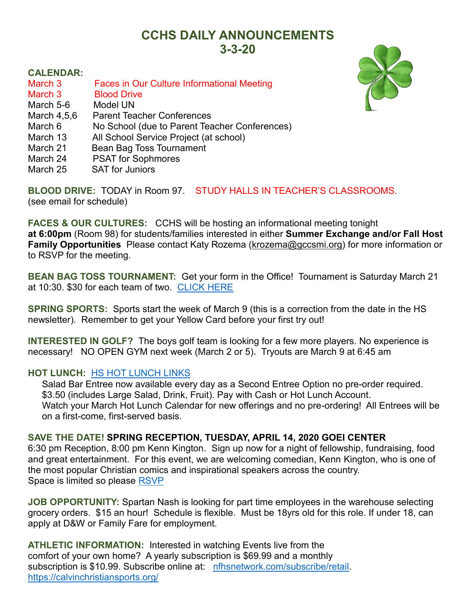## **CCHS DAILY ANNOUNCEMENTS 3-3-20**

## **CALENDAR:**

- March 3 Faces in Our Culture Informational Meeting
- March 3 Blood Drive
- March 5-6 Model UN
- March 4,5,6 Parent Teacher Conferences
- March 6 No School (due to Parent Teacher Conferences)
- March 13 All School Service Project (at school)
- March 21 Bean Bag Toss Tournament
- March 24 PSAT for Sophmores
- March 25 SAT for Juniors

**BLOOD DRIVE:** TODAY in Room 97. STUDY HALLS IN TEACHER'S CLASSROOMS. (see email for schedule)

**FACES & OUR CULTURES:** CCHS will be hosting an informational meeting tonight **at 6:00pm** (Room 98) for students/families interested in either **Summer Exchange and/or Fall Host Family Opportunities** Please contact Katy Rozema (krozema@gccsmi.org) for more information or to RSVP for the meeting.

**BEAN BAG TOSS TOURNAMENT:** Get your form in the Office! Tournament is Saturday March 21 at 10:30. \$30 for each team of two. [CLICK HERE](https://files.constantcontact.com/9f9c2db7501/482a65e4-9e1e-4dcb-9a67-ee7d428e551e.pdf)

**SPRING SPORTS:** Sports start the week of March 9 (this is a correction from the date in the HS newsletter). Remember to get your Yellow Card before your first try out!

**INTERESTED IN GOLF?** The boys golf team is looking for a few more players. No experience is necessary! NO OPEN GYM next week (March 2 or 5)**.** Tryouts are March 9 at 6:45 am

## **HOT LUNCH:** [HS HOT LUNCH LINKS](https://docs.google.com/document/d/1GkAVw68_kkE-XIvjr5nMXsIW-K5PDEcLy_tN9Zd59qc/edit)

Salad Bar Entree now available every day as a Second Entree Option no pre-order required. \$3.50 (includes Large Salad, Drink, Fruit). Pay with Cash or Hot Lunch Account. Watch your March Hot Lunch Calendar for new offerings and no pre-ordering! All Entrees will be on a first-come, first-served basis.

## **SAVE THE DATE! SPRING RECEPTION, TUESDAY, APRIL 14, 2020 GOEI CENTER**

6:30 pm Reception, 8:00 pm Kenn Kington. Sign up now for a night of fellowship, fundraising, food and great entertainment. For this event, we are welcoming comedian, Kenn Kington, who is one of the most popular Christian comics and inspirational speakers across the country. Space is limited so please [RSVP](https://docs.google.com/forms/d/e/1FAIpQLSfNfHf0UbMPo4O4Y_8V9DJphfOXCvvWYKLQwPTZyut1BOkRSQ/viewform?vc=0&c=0&w=1)

**JOB OPPORTUNITY:** Spartan Nash is looking for part time employees in the warehouse selecting grocery orders. \$15 an hour! Schedule is flexible. Must be 18yrs old for this role. If under 18, can apply at D&W or Family Fare for employment.

**ATHLETIC INFORMATION:** Interested in watching Events live from the comfort of your own home? A yearly subscription is \$69.99 and a monthly subscription is \$10.99. Subscribe online at: [nfhsnetwork.com/subscribe/retail.](file://///data/facstaff/HS%20Office%20Shared/DAILY%20ANNOUNCEMENTS%202019-20/nfhsnetwork.com/subscribe/retail) <https://calvinchristiansports.org/>